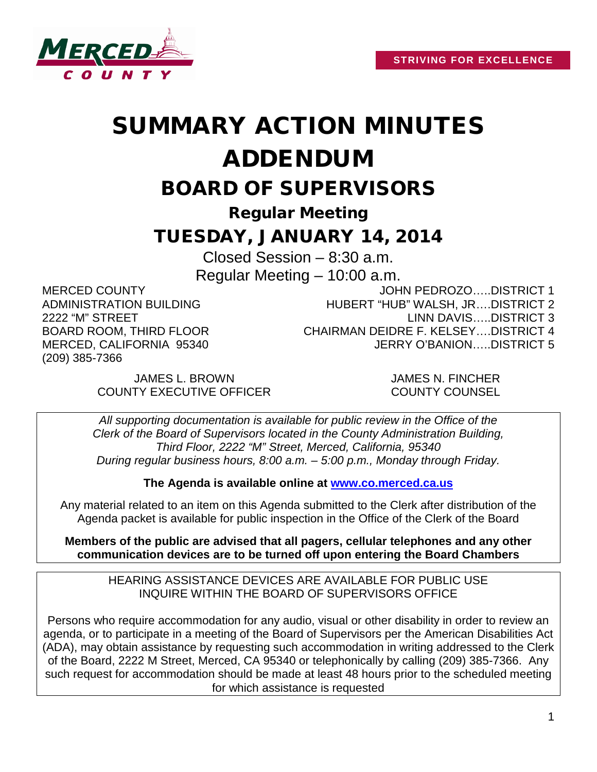

## SUMMARY ACTION MINUTES ADDENDUM

BOARD OF SUPERVISORS

Regular Meeting

## TUESDAY, JANUARY 14, 2014

Closed Session – 8:30 a.m. Regular Meeting – 10:00 a.m.

MERCED COUNTY ADMINISTRATION BUILDING 2222 "M" STREET BOARD ROOM, THIRD FLOOR MERCED, CALIFORNIA 95340 (209) 385-7366

JOHN PEDROZO…..DISTRICT 1 HUBERT "HUB" WALSH, JR….DISTRICT 2 LINN DAVIS…..DISTRICT 3 CHAIRMAN DEIDRE F. KELSEY….DISTRICT 4 JERRY O'BANION…..DISTRICT 5

JAMES L. BROWN JAMES N. FINCHER COUNTY EXECUTIVE OFFICER COUNTY COUNSEL

*All supporting documentation is available for public review in the Office of the Clerk of the Board of Supervisors located in the County Administration Building, Third Floor, 2222 "M" Street, Merced, California, 95340 During regular business hours, 8:00 a.m. – 5:00 p.m., Monday through Friday.*

**The Agenda is available online at [www.co.merced.ca.us](http://www.co.merced.ca.us/)**

Any material related to an item on this Agenda submitted to the Clerk after distribution of the Agenda packet is available for public inspection in the Office of the Clerk of the Board

**Members of the public are advised that all pagers, cellular telephones and any other communication devices are to be turned off upon entering the Board Chambers**

HEARING ASSISTANCE DEVICES ARE AVAILABLE FOR PUBLIC USE INQUIRE WITHIN THE BOARD OF SUPERVISORS OFFICE

Persons who require accommodation for any audio, visual or other disability in order to review an agenda, or to participate in a meeting of the Board of Supervisors per the American Disabilities Act (ADA), may obtain assistance by requesting such accommodation in writing addressed to the Clerk of the Board, 2222 M Street, Merced, CA 95340 or telephonically by calling (209) 385-7366. Any such request for accommodation should be made at least 48 hours prior to the scheduled meeting for which assistance is requested